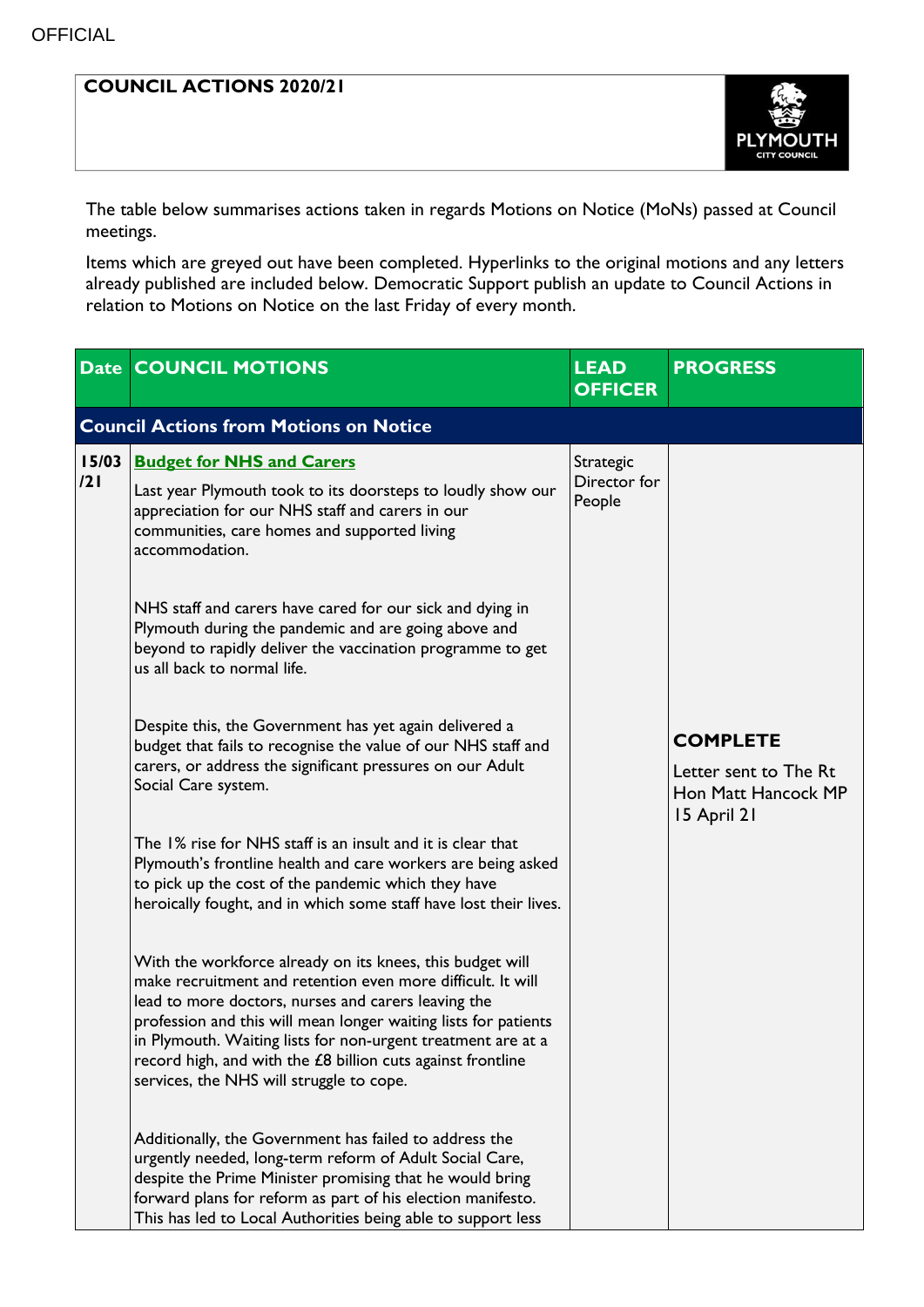## **COUNCIL ACTIONS 2020/21**



The table below summarises actions taken in regards Motions on Notice (MoNs) passed at Council meetings.

Items which are greyed out have been completed. Hyperlinks to the original motions and any letters already published are included below. Democratic Support publish an update to Council Actions in relation to Motions on Notice on the last Friday of every month.

|              | <b>Date COUNCIL MOTIONS</b>                                                                                                                                                                                                                                                                                                                                                                                                   | <b>LEAD</b><br><b>OFFICER</b>       | <b>PROGRESS</b>                                                                |  |  |  |  |
|--------------|-------------------------------------------------------------------------------------------------------------------------------------------------------------------------------------------------------------------------------------------------------------------------------------------------------------------------------------------------------------------------------------------------------------------------------|-------------------------------------|--------------------------------------------------------------------------------|--|--|--|--|
|              | <b>Council Actions from Motions on Notice</b>                                                                                                                                                                                                                                                                                                                                                                                 |                                     |                                                                                |  |  |  |  |
| 15/03<br>121 | <b>Budget for NHS and Carers</b><br>Last year Plymouth took to its doorsteps to loudly show our<br>appreciation for our NHS staff and carers in our<br>communities, care homes and supported living<br>accommodation.                                                                                                                                                                                                         | Strategic<br>Director for<br>People |                                                                                |  |  |  |  |
|              | NHS staff and carers have cared for our sick and dying in<br>Plymouth during the pandemic and are going above and<br>beyond to rapidly deliver the vaccination programme to get<br>us all back to normal life.                                                                                                                                                                                                                |                                     |                                                                                |  |  |  |  |
|              | Despite this, the Government has yet again delivered a<br>budget that fails to recognise the value of our NHS staff and<br>carers, or address the significant pressures on our Adult<br>Social Care system.                                                                                                                                                                                                                   |                                     | <b>COMPLETE</b><br>Letter sent to The Rt<br>Hon Matt Hancock MP<br>15 April 21 |  |  |  |  |
|              | The 1% rise for NHS staff is an insult and it is clear that<br>Plymouth's frontline health and care workers are being asked<br>to pick up the cost of the pandemic which they have<br>heroically fought, and in which some staff have lost their lives.                                                                                                                                                                       |                                     |                                                                                |  |  |  |  |
|              | With the workforce already on its knees, this budget will<br>make recruitment and retention even more difficult. It will<br>lead to more doctors, nurses and carers leaving the<br>profession and this will mean longer waiting lists for patients<br>in Plymouth. Waiting lists for non-urgent treatment are at a<br>record high, and with the £8 billion cuts against frontline<br>services, the NHS will struggle to cope. |                                     |                                                                                |  |  |  |  |
|              | Additionally, the Government has failed to address the<br>urgently needed, long-term reform of Adult Social Care,<br>despite the Prime Minister promising that he would bring<br>forward plans for reform as part of his election manifesto.<br>This has led to Local Authorities being able to support less                                                                                                                  |                                     |                                                                                |  |  |  |  |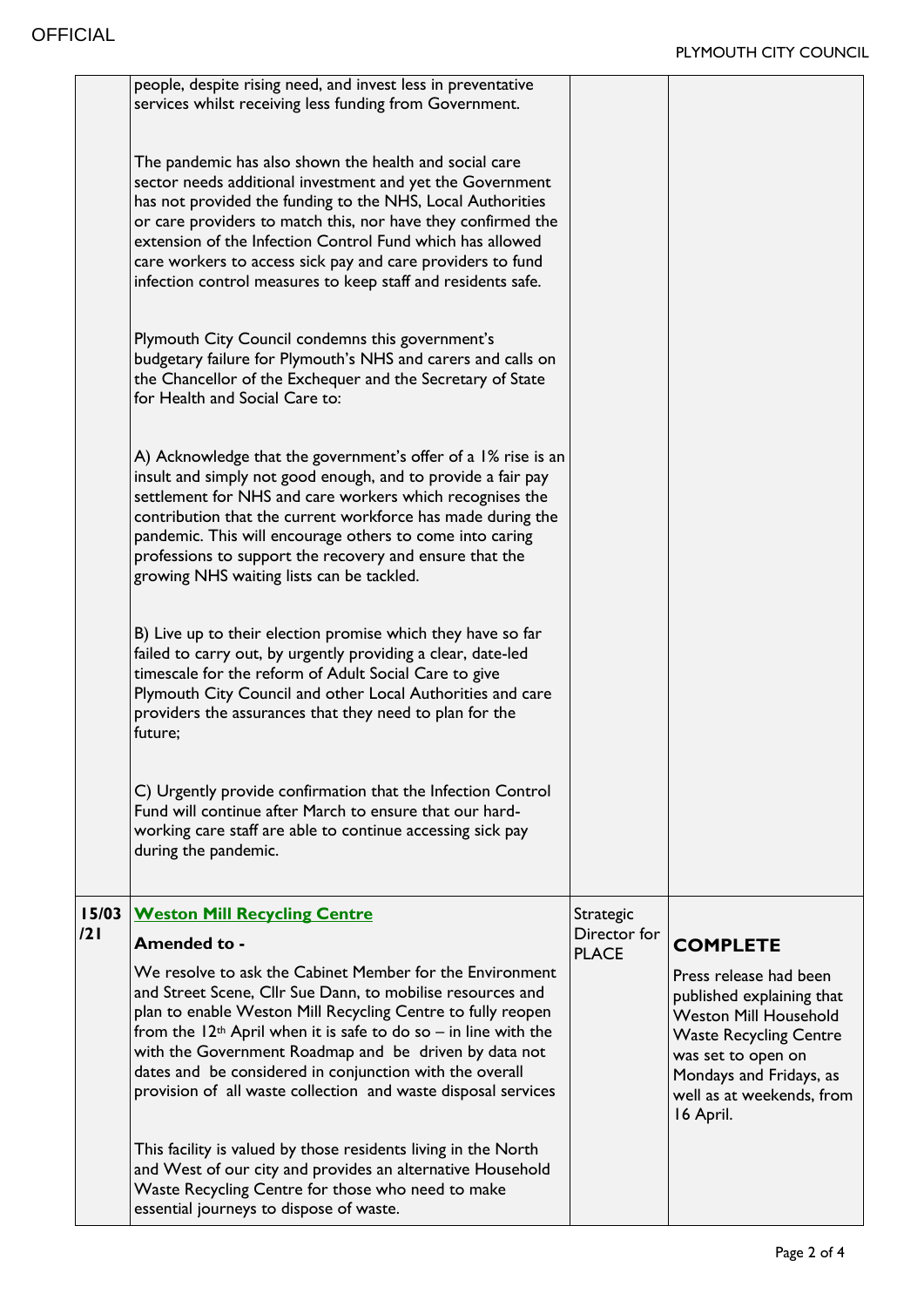|              | people, despite rising need, and invest less in preventative<br>services whilst receiving less funding from Government.                                                                                                                                                                                                                                                                                                                         |                              |                                                                                                                                                                                                                 |
|--------------|-------------------------------------------------------------------------------------------------------------------------------------------------------------------------------------------------------------------------------------------------------------------------------------------------------------------------------------------------------------------------------------------------------------------------------------------------|------------------------------|-----------------------------------------------------------------------------------------------------------------------------------------------------------------------------------------------------------------|
|              | The pandemic has also shown the health and social care<br>sector needs additional investment and yet the Government<br>has not provided the funding to the NHS, Local Authorities<br>or care providers to match this, nor have they confirmed the<br>extension of the Infection Control Fund which has allowed<br>care workers to access sick pay and care providers to fund<br>infection control measures to keep staff and residents safe.    |                              |                                                                                                                                                                                                                 |
|              | Plymouth City Council condemns this government's<br>budgetary failure for Plymouth's NHS and carers and calls on<br>the Chancellor of the Exchequer and the Secretary of State<br>for Health and Social Care to:                                                                                                                                                                                                                                |                              |                                                                                                                                                                                                                 |
|              | A) Acknowledge that the government's offer of a 1% rise is an<br>insult and simply not good enough, and to provide a fair pay<br>settlement for NHS and care workers which recognises the<br>contribution that the current workforce has made during the<br>pandemic. This will encourage others to come into caring<br>professions to support the recovery and ensure that the<br>growing NHS waiting lists can be tackled.                    |                              |                                                                                                                                                                                                                 |
|              | B) Live up to their election promise which they have so far<br>failed to carry out, by urgently providing a clear, date-led<br>timescale for the reform of Adult Social Care to give<br>Plymouth City Council and other Local Authorities and care<br>providers the assurances that they need to plan for the<br>future;                                                                                                                        |                              |                                                                                                                                                                                                                 |
|              | C) Urgently provide confirmation that the Infection Control<br>Fund will continue after March to ensure that our hard-<br>working care staff are able to continue accessing sick pay<br>during the pandemic.                                                                                                                                                                                                                                    |                              |                                                                                                                                                                                                                 |
| 15/03<br>121 | <b>Weston Mill Recycling Centre</b>                                                                                                                                                                                                                                                                                                                                                                                                             | Strategic                    |                                                                                                                                                                                                                 |
|              | <b>Amended to -</b>                                                                                                                                                                                                                                                                                                                                                                                                                             | Director for<br><b>PLACE</b> | <b>COMPLETE</b>                                                                                                                                                                                                 |
|              | We resolve to ask the Cabinet Member for the Environment<br>and Street Scene, Cllr Sue Dann, to mobilise resources and<br>plan to enable Weston Mill Recycling Centre to fully reopen<br>from the $12th$ April when it is safe to do so – in line with the<br>with the Government Roadmap and be driven by data not<br>dates and be considered in conjunction with the overall<br>provision of all waste collection and waste disposal services |                              | Press release had been<br>published explaining that<br><b>Weston Mill Household</b><br><b>Waste Recycling Centre</b><br>was set to open on<br>Mondays and Fridays, as<br>well as at weekends, from<br>16 April. |
|              | This facility is valued by those residents living in the North<br>and West of our city and provides an alternative Household<br>Waste Recycling Centre for those who need to make<br>essential journeys to dispose of waste.                                                                                                                                                                                                                    |                              |                                                                                                                                                                                                                 |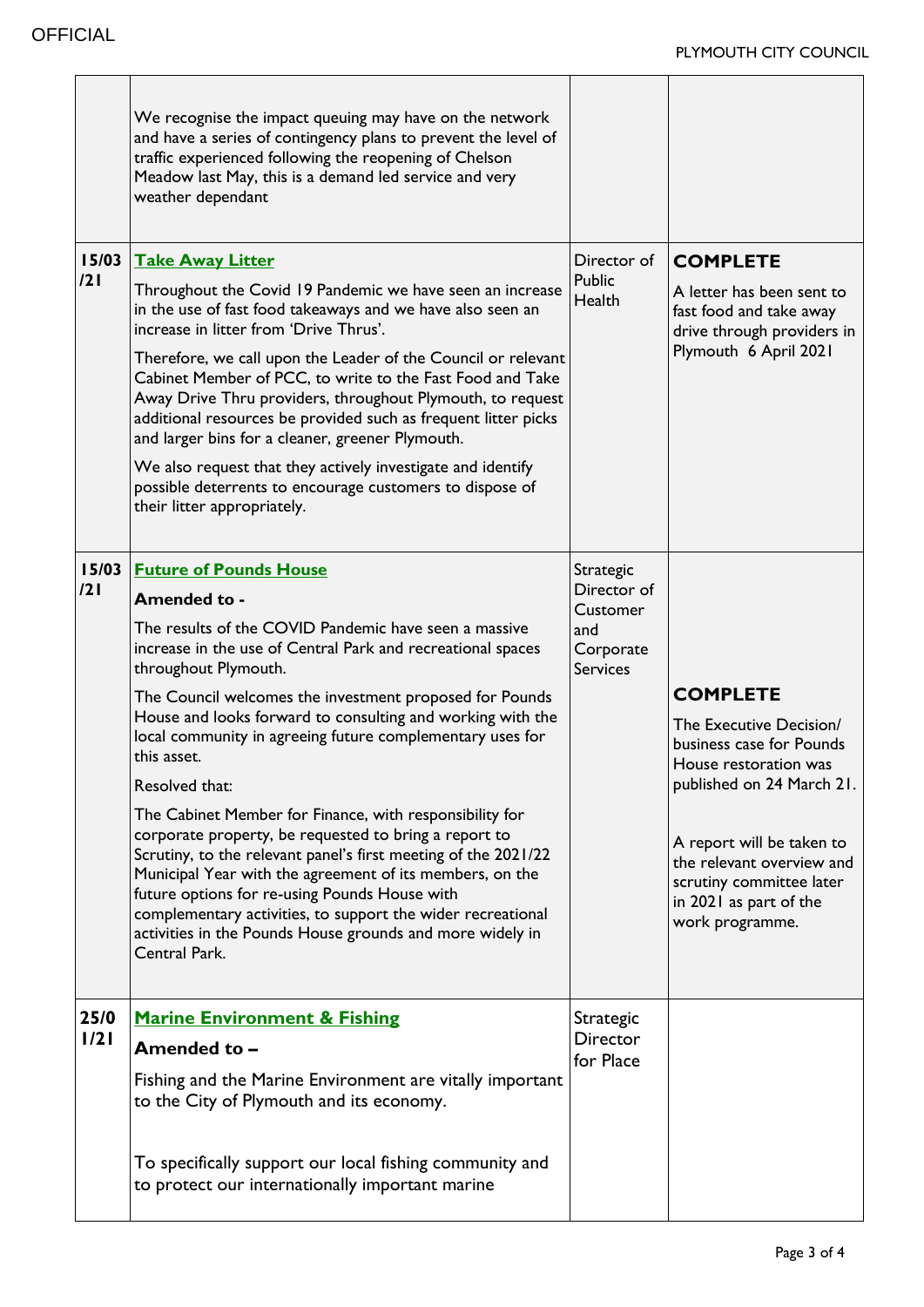|              | We recognise the impact queuing may have on the network<br>and have a series of contingency plans to prevent the level of<br>traffic experienced following the reopening of Chelson<br>Meadow last May, this is a demand led service and very<br>weather dependant                                                                                                                                                                                                                                                                                                                                                                                                                                                                                                                                                                                                          |                                                                             |                                                                                                                                                                                                                                                                 |
|--------------|-----------------------------------------------------------------------------------------------------------------------------------------------------------------------------------------------------------------------------------------------------------------------------------------------------------------------------------------------------------------------------------------------------------------------------------------------------------------------------------------------------------------------------------------------------------------------------------------------------------------------------------------------------------------------------------------------------------------------------------------------------------------------------------------------------------------------------------------------------------------------------|-----------------------------------------------------------------------------|-----------------------------------------------------------------------------------------------------------------------------------------------------------------------------------------------------------------------------------------------------------------|
| 15/03<br>121 | <b>Take Away Litter</b><br>Throughout the Covid 19 Pandemic we have seen an increase<br>in the use of fast food takeaways and we have also seen an<br>increase in litter from 'Drive Thrus'.<br>Therefore, we call upon the Leader of the Council or relevant<br>Cabinet Member of PCC, to write to the Fast Food and Take<br>Away Drive Thru providers, throughout Plymouth, to request<br>additional resources be provided such as frequent litter picks<br>and larger bins for a cleaner, greener Plymouth.<br>We also request that they actively investigate and identify<br>possible deterrents to encourage customers to dispose of<br>their litter appropriately.                                                                                                                                                                                                    | Director of<br>Public<br>Health                                             | <b>COMPLETE</b><br>A letter has been sent to<br>fast food and take away<br>drive through providers in<br>Plymouth 6 April 2021                                                                                                                                  |
| 15/03<br>121 | <b>Future of Pounds House</b><br><b>Amended to -</b><br>The results of the COVID Pandemic have seen a massive<br>increase in the use of Central Park and recreational spaces<br>throughout Plymouth.<br>The Council welcomes the investment proposed for Pounds<br>House and looks forward to consulting and working with the<br>local community in agreeing future complementary uses for<br>this asset.<br>Resolved that:<br>The Cabinet Member for Finance, with responsibility for<br>corporate property, be requested to bring a report to<br>Scrutiny, to the relevant panel's first meeting of the 2021/22<br>Municipal Year with the agreement of its members, on the<br>future options for re-using Pounds House with<br>complementary activities, to support the wider recreational<br>activities in the Pounds House grounds and more widely in<br>Central Park. | Strategic<br>Director of<br>Customer<br>and<br>Corporate<br><b>Services</b> | <b>COMPLETE</b><br>The Executive Decision/<br>business case for Pounds<br>House restoration was<br>published on 24 March 21.<br>A report will be taken to<br>the relevant overview and<br>scrutiny committee later<br>in 2021 as part of the<br>work programme. |
| 25/0<br>1/21 | <b>Marine Environment &amp; Fishing</b><br>Amended to -<br>Fishing and the Marine Environment are vitally important<br>to the City of Plymouth and its economy.<br>To specifically support our local fishing community and<br>to protect our internationally important marine                                                                                                                                                                                                                                                                                                                                                                                                                                                                                                                                                                                               | Strategic<br><b>Director</b><br>for Place                                   |                                                                                                                                                                                                                                                                 |